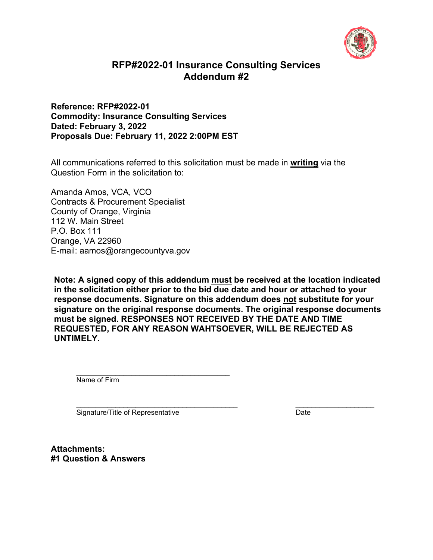

# **RFP#2022-01 Insurance Consulting Services Addendum #2**

#### **Reference: RFP#2022-01 Commodity: Insurance Consulting Services Dated: February 3, 2022 Proposals Due: February 11, 2022 2:00PM EST**

All communications referred to this solicitation must be made in **writing** via the Question Form in the solicitation to:

Amanda Amos, VCA, VCO Contracts & Procurement Specialist County of Orange, Virginia 112 W. Main Street P.O. Box 111 Orange, VA 22960 E-mail: aamos@orangecountyva.gov

**Note: A signed copy of this addendum must be received at the location indicated in the solicitation either prior to the bid due date and hour or attached to your response documents. Signature on this addendum does not substitute for your signature on the original response documents. The original response documents must be signed. RESPONSES NOT RECEIVED BY THE DATE AND TIME REQUESTED, FOR ANY REASON WAHTSOEVER, WILL BE REJECTED AS UNTIMELY.** 

Name of Firm

Signature/Title of Representative Date

**Attachments: #1 Question & Answers**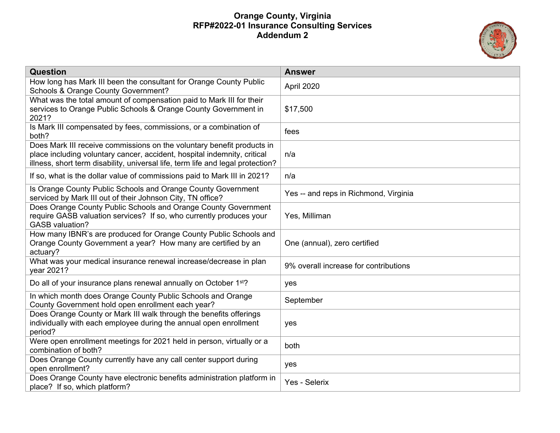

| <b>Question</b>                                                                                                                                                                                                                       | <b>Answer</b>                         |
|---------------------------------------------------------------------------------------------------------------------------------------------------------------------------------------------------------------------------------------|---------------------------------------|
| How long has Mark III been the consultant for Orange County Public<br>Schools & Orange County Government?                                                                                                                             | April 2020                            |
| What was the total amount of compensation paid to Mark III for their<br>services to Orange Public Schools & Orange County Government in<br>2021?                                                                                      | \$17,500                              |
| Is Mark III compensated by fees, commissions, or a combination of<br>both?                                                                                                                                                            | fees                                  |
| Does Mark III receive commissions on the voluntary benefit products in<br>place including voluntary cancer, accident, hospital indemnity, critical<br>illness, short term disability, universal life, term life and legal protection? | n/a                                   |
| If so, what is the dollar value of commissions paid to Mark III in 2021?                                                                                                                                                              | n/a                                   |
| Is Orange County Public Schools and Orange County Government<br>serviced by Mark III out of their Johnson City, TN office?                                                                                                            | Yes -- and reps in Richmond, Virginia |
| Does Orange County Public Schools and Orange County Government<br>require GASB valuation services? If so, who currently produces your<br><b>GASB</b> valuation?                                                                       | Yes, Milliman                         |
| How many IBNR's are produced for Orange County Public Schools and<br>Orange County Government a year? How many are certified by an<br>actuary?                                                                                        | One (annual), zero certified          |
| What was your medical insurance renewal increase/decrease in plan<br>year 2021?                                                                                                                                                       | 9% overall increase for contributions |
| Do all of your insurance plans renewal annually on October 1 <sup>st</sup> ?                                                                                                                                                          | yes                                   |
| In which month does Orange County Public Schools and Orange<br>County Government hold open enrollment each year?                                                                                                                      | September                             |
| Does Orange County or Mark III walk through the benefits offerings<br>individually with each employee during the annual open enrollment<br>period?                                                                                    | yes                                   |
| Were open enrollment meetings for 2021 held in person, virtually or a<br>combination of both?                                                                                                                                         | both                                  |
| Does Orange County currently have any call center support during<br>open enrollment?                                                                                                                                                  | yes                                   |
| Does Orange County have electronic benefits administration platform in<br>place? If so, which platform?                                                                                                                               | Yes - Selerix                         |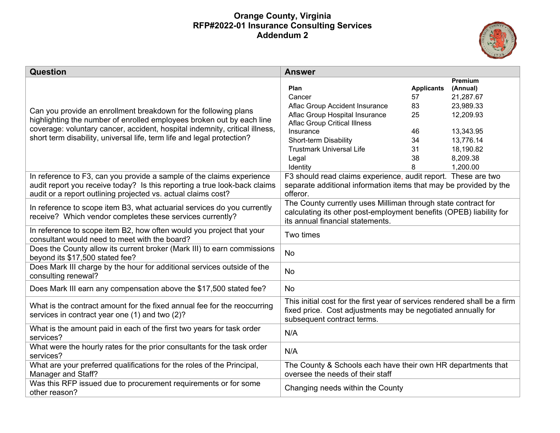

| Question                                                                                                                                             | <b>Answer</b>                                                                                           |                   |                     |
|------------------------------------------------------------------------------------------------------------------------------------------------------|---------------------------------------------------------------------------------------------------------|-------------------|---------------------|
|                                                                                                                                                      | Plan                                                                                                    | <b>Applicants</b> | Premium<br>(Annual) |
|                                                                                                                                                      | Cancer                                                                                                  | 57                | 21,287.67           |
|                                                                                                                                                      | Aflac Group Accident Insurance                                                                          | 83                | 23,989.33           |
| Can you provide an enrollment breakdown for the following plans                                                                                      | Aflac Group Hospital Insurance                                                                          | 25                | 12,209.93           |
| highlighting the number of enrolled employees broken out by each line<br>coverage: voluntary cancer, accident, hospital indemnity, critical illness, | <b>Aflac Group Critical Illness</b>                                                                     |                   |                     |
| short term disability, universal life, term life and legal protection?                                                                               | Insurance                                                                                               | 46                | 13,343.95           |
|                                                                                                                                                      | Short-term Disability                                                                                   | 34                | 13,776.14           |
|                                                                                                                                                      | <b>Trustmark Universal Life</b>                                                                         | 31                | 18,190.82           |
|                                                                                                                                                      | Legal                                                                                                   | 38                | 8,209.38            |
|                                                                                                                                                      | Identity                                                                                                | 8                 | 1,200.00            |
| In reference to F3, can you provide a sample of the claims experience                                                                                | F3 should read claims experience, audit report. These are two                                           |                   |                     |
| audit report you receive today? Is this reporting a true look-back claims                                                                            | separate additional information items that may be provided by the                                       |                   |                     |
| audit or a report outlining projected vs. actual claims cost?                                                                                        | offeror.                                                                                                |                   |                     |
| In reference to scope item B3, what actuarial services do you currently                                                                              | The County currently uses Milliman through state contract for                                           |                   |                     |
| receive? Which vendor completes these services currently?                                                                                            | calculating its other post-employment benefits (OPEB) liability for<br>its annual financial statements. |                   |                     |
|                                                                                                                                                      |                                                                                                         |                   |                     |
| In reference to scope item B2, how often would you project that your<br>consultant would need to meet with the board?                                | Two times                                                                                               |                   |                     |
| Does the County allow its current broker (Mark III) to earn commissions                                                                              |                                                                                                         |                   |                     |
| beyond its \$17,500 stated fee?                                                                                                                      | <b>No</b>                                                                                               |                   |                     |
| Does Mark III charge by the hour for additional services outside of the                                                                              |                                                                                                         |                   |                     |
| consulting renewal?                                                                                                                                  | <b>No</b>                                                                                               |                   |                     |
|                                                                                                                                                      |                                                                                                         |                   |                     |
| Does Mark III earn any compensation above the \$17,500 stated fee?                                                                                   | <b>No</b>                                                                                               |                   |                     |
|                                                                                                                                                      | This initial cost for the first year of services rendered shall be a firm                               |                   |                     |
| What is the contract amount for the fixed annual fee for the reoccurring                                                                             | fixed price. Cost adjustments may be negotiated annually for                                            |                   |                     |
| services in contract year one (1) and two (2)?                                                                                                       | subsequent contract terms.                                                                              |                   |                     |
| What is the amount paid in each of the first two years for task order                                                                                | N/A                                                                                                     |                   |                     |
| services?                                                                                                                                            |                                                                                                         |                   |                     |
| What were the hourly rates for the prior consultants for the task order                                                                              | N/A                                                                                                     |                   |                     |
| services?                                                                                                                                            |                                                                                                         |                   |                     |
| What are your preferred qualifications for the roles of the Principal,                                                                               | The County & Schools each have their own HR departments that                                            |                   |                     |
| Manager and Staff?                                                                                                                                   | oversee the needs of their staff                                                                        |                   |                     |
| Was this RFP issued due to procurement requirements or for some                                                                                      | Changing needs within the County                                                                        |                   |                     |
| other reason?                                                                                                                                        |                                                                                                         |                   |                     |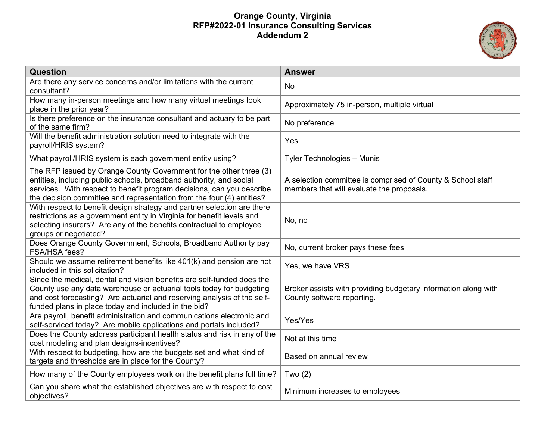

| <b>Question</b>                                                                                                                                                                                                                                                                             | <b>Answer</b>                                                                                            |
|---------------------------------------------------------------------------------------------------------------------------------------------------------------------------------------------------------------------------------------------------------------------------------------------|----------------------------------------------------------------------------------------------------------|
| Are there any service concerns and/or limitations with the current<br>consultant?                                                                                                                                                                                                           | No                                                                                                       |
| How many in-person meetings and how many virtual meetings took<br>place in the prior year?                                                                                                                                                                                                  | Approximately 75 in-person, multiple virtual                                                             |
| Is there preference on the insurance consultant and actuary to be part<br>of the same firm?                                                                                                                                                                                                 | No preference                                                                                            |
| Will the benefit administration solution need to integrate with the<br>payroll/HRIS system?                                                                                                                                                                                                 | Yes                                                                                                      |
| What payroll/HRIS system is each government entity using?                                                                                                                                                                                                                                   | Tyler Technologies - Munis                                                                               |
| The RFP issued by Orange County Government for the other three (3)<br>entities, including public schools, broadband authority, and social<br>services. With respect to benefit program decisions, can you describe<br>the decision committee and representation from the four (4) entities? | A selection committee is comprised of County & School staff<br>members that will evaluate the proposals. |
| With respect to benefit design strategy and partner selection are there<br>restrictions as a government entity in Virginia for benefit levels and<br>selecting insurers? Are any of the benefits contractual to employee<br>groups or negotiated?                                           | No, no                                                                                                   |
| Does Orange County Government, Schools, Broadband Authority pay<br>FSA/HSA fees?                                                                                                                                                                                                            | No, current broker pays these fees                                                                       |
| Should we assume retirement benefits like 401(k) and pension are not<br>included in this solicitation?                                                                                                                                                                                      | Yes, we have VRS                                                                                         |
| Since the medical, dental and vision benefits are self-funded does the<br>County use any data warehouse or actuarial tools today for budgeting<br>and cost forecasting? Are actuarial and reserving analysis of the self-<br>funded plans in place today and included in the bid?           | Broker assists with providing budgetary information along with<br>County software reporting.             |
| Are payroll, benefit administration and communications electronic and<br>self-serviced today? Are mobile applications and portals included?                                                                                                                                                 | Yes/Yes                                                                                                  |
| Does the County address participant health status and risk in any of the<br>cost modeling and plan designs-incentives?                                                                                                                                                                      | Not at this time                                                                                         |
| With respect to budgeting, how are the budgets set and what kind of<br>targets and thresholds are in place for the County?                                                                                                                                                                  | Based on annual review                                                                                   |
| How many of the County employees work on the benefit plans full time?                                                                                                                                                                                                                       | Two $(2)$                                                                                                |
| Can you share what the established objectives are with respect to cost<br>objectives?                                                                                                                                                                                                       | Minimum increases to employees                                                                           |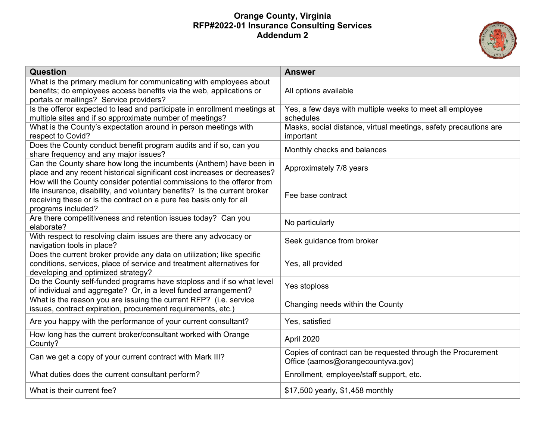

| <b>Question</b>                                                                                                                                                                                                                                  | <b>Answer</b>                                                                                    |
|--------------------------------------------------------------------------------------------------------------------------------------------------------------------------------------------------------------------------------------------------|--------------------------------------------------------------------------------------------------|
| What is the primary medium for communicating with employees about<br>benefits; do employees access benefits via the web, applications or<br>portals or mailings? Service providers?                                                              | All options available                                                                            |
| Is the offeror expected to lead and participate in enrollment meetings at<br>multiple sites and if so approximate number of meetings?                                                                                                            | Yes, a few days with multiple weeks to meet all employee<br>schedules                            |
| What is the County's expectation around in person meetings with<br>respect to Covid?                                                                                                                                                             | Masks, social distance, virtual meetings, safety precautions are<br>important                    |
| Does the County conduct benefit program audits and if so, can you<br>share frequency and any major issues?                                                                                                                                       | Monthly checks and balances                                                                      |
| Can the County share how long the incumbents (Anthem) have been in<br>place and any recent historical significant cost increases or decreases?                                                                                                   | Approximately 7/8 years                                                                          |
| How will the County consider potential commissions to the offeror from<br>life insurance, disability, and voluntary benefits? Is the current broker<br>receiving these or is the contract on a pure fee basis only for all<br>programs included? | Fee base contract                                                                                |
| Are there competitiveness and retention issues today? Can you<br>elaborate?                                                                                                                                                                      | No particularly                                                                                  |
| With respect to resolving claim issues are there any advocacy or<br>navigation tools in place?                                                                                                                                                   | Seek guidance from broker                                                                        |
| Does the current broker provide any data on utilization; like specific<br>conditions, services, place of service and treatment alternatives for<br>developing and optimized strategy?                                                            | Yes, all provided                                                                                |
| Do the County self-funded programs have stoploss and if so what level<br>of individual and aggregate? Or, in a level funded arrangement?                                                                                                         | Yes stoploss                                                                                     |
| What is the reason you are issuing the current RFP? (i.e. service<br>issues, contract expiration, procurement requirements, etc.)                                                                                                                | Changing needs within the County                                                                 |
| Are you happy with the performance of your current consultant?                                                                                                                                                                                   | Yes, satisfied                                                                                   |
| How long has the current broker/consultant worked with Orange<br>County?                                                                                                                                                                         | April 2020                                                                                       |
| Can we get a copy of your current contract with Mark III?                                                                                                                                                                                        | Copies of contract can be requested through the Procurement<br>Office (aamos@orangecountyva.gov) |
| What duties does the current consultant perform?                                                                                                                                                                                                 | Enrollment, employee/staff support, etc.                                                         |
| What is their current fee?                                                                                                                                                                                                                       | \$17,500 yearly, \$1,458 monthly                                                                 |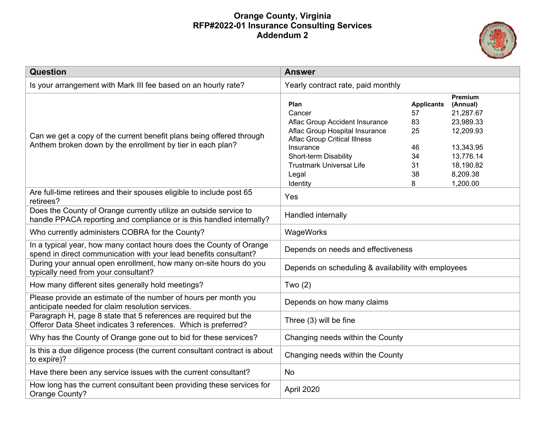

| <b>Question</b>                                                                                                                           | <b>Answer</b>                                                                                                                                                                                                           |                                                                  |                                                                                                                           |
|-------------------------------------------------------------------------------------------------------------------------------------------|-------------------------------------------------------------------------------------------------------------------------------------------------------------------------------------------------------------------------|------------------------------------------------------------------|---------------------------------------------------------------------------------------------------------------------------|
| Is your arrangement with Mark III fee based on an hourly rate?                                                                            | Yearly contract rate, paid monthly                                                                                                                                                                                      |                                                                  |                                                                                                                           |
| Can we get a copy of the current benefit plans being offered through<br>Anthem broken down by the enrollment by tier in each plan?        | Plan<br>Cancer<br>Aflac Group Accident Insurance<br>Aflac Group Hospital Insurance<br><b>Aflac Group Critical Illness</b><br>Insurance<br>Short-term Disability<br><b>Trustmark Universal Life</b><br>Legal<br>Identity | <b>Applicants</b><br>57<br>83<br>25<br>46<br>34<br>31<br>38<br>8 | Premium<br>(Annual)<br>21,287.67<br>23,989.33<br>12,209.93<br>13,343.95<br>13,776.14<br>18,190.82<br>8,209.38<br>1,200.00 |
| Are full-time retirees and their spouses eligible to include post 65<br>retirees?                                                         | Yes                                                                                                                                                                                                                     |                                                                  |                                                                                                                           |
| Does the County of Orange currently utilize an outside service to<br>handle PPACA reporting and compliance or is this handled internally? | Handled internally                                                                                                                                                                                                      |                                                                  |                                                                                                                           |
| Who currently administers COBRA for the County?                                                                                           | WageWorks                                                                                                                                                                                                               |                                                                  |                                                                                                                           |
| In a typical year, how many contact hours does the County of Orange<br>spend in direct communication with your lead benefits consultant?  | Depends on needs and effectiveness                                                                                                                                                                                      |                                                                  |                                                                                                                           |
| During your annual open enrollment, how many on-site hours do you<br>typically need from your consultant?                                 | Depends on scheduling & availability with employees                                                                                                                                                                     |                                                                  |                                                                                                                           |
| How many different sites generally hold meetings?                                                                                         | Two $(2)$                                                                                                                                                                                                               |                                                                  |                                                                                                                           |
| Please provide an estimate of the number of hours per month you<br>anticipate needed for claim resolution services.                       | Depends on how many claims                                                                                                                                                                                              |                                                                  |                                                                                                                           |
| Paragraph H, page 8 state that 5 references are required but the<br>Offeror Data Sheet indicates 3 references. Which is preferred?        | Three (3) will be fine                                                                                                                                                                                                  |                                                                  |                                                                                                                           |
| Why has the County of Orange gone out to bid for these services?                                                                          | Changing needs within the County                                                                                                                                                                                        |                                                                  |                                                                                                                           |
| Is this a due diligence process (the current consultant contract is about<br>to expire)?                                                  | Changing needs within the County                                                                                                                                                                                        |                                                                  |                                                                                                                           |
| Have there been any service issues with the current consultant?                                                                           | No                                                                                                                                                                                                                      |                                                                  |                                                                                                                           |
| How long has the current consultant been providing these services for<br>Orange County?                                                   | April 2020                                                                                                                                                                                                              |                                                                  |                                                                                                                           |